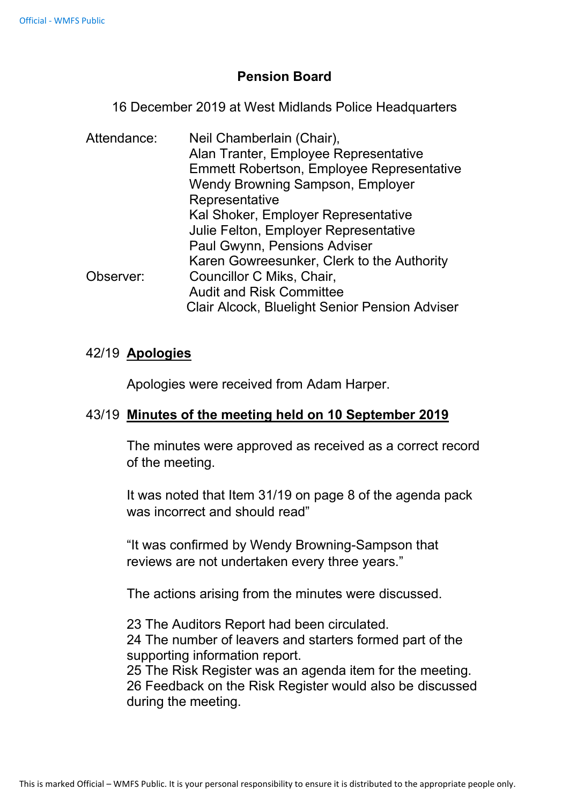# **Pension Board**

16 December 2019 at West Midlands Police Headquarters

| Neil Chamberlain (Chair),                             |
|-------------------------------------------------------|
| Alan Tranter, Employee Representative                 |
| Emmett Robertson, Employee Representative             |
| <b>Wendy Browning Sampson, Employer</b>               |
| Representative                                        |
| Kal Shoker, Employer Representative                   |
| Julie Felton, Employer Representative                 |
| Paul Gwynn, Pensions Adviser                          |
| Karen Gowreesunker, Clerk to the Authority            |
| Councillor C Miks, Chair,                             |
| <b>Audit and Risk Committee</b>                       |
| <b>Clair Alcock, Bluelight Senior Pension Adviser</b> |
|                                                       |

## 42/19 **Apologies**

Apologies were received from Adam Harper.

## 43/19 **Minutes of the meeting held on 10 September 2019**

The minutes were approved as received as a correct record of the meeting.

It was noted that Item 31/19 on page 8 of the agenda pack was incorrect and should read"

"It was confirmed by Wendy Browning-Sampson that reviews are not undertaken every three years."

The actions arising from the minutes were discussed.

23 The Auditors Report had been circulated. 24 The number of leavers and starters formed part of the supporting information report.

25 The Risk Register was an agenda item for the meeting. 26 Feedback on the Risk Register would also be discussed during the meeting.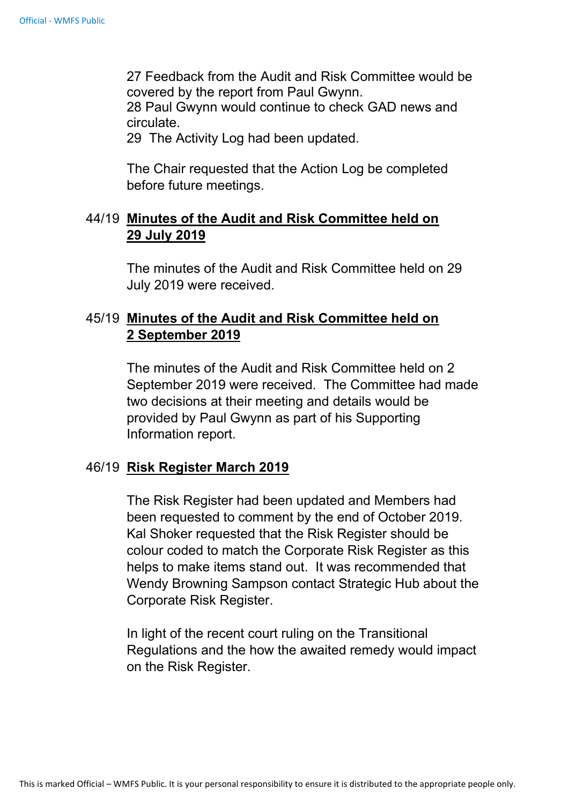27 Feedback from the Audit and Risk Committee would be covered by the report from Paul Gwynn.

28 Paul Gwynn would continue to check GAD news and circulate.

29 The Activity Log had been updated.

The Chair requested that the Action Log be completed before future meetings.

# 44/19 **Minutes of the Audit and Risk Committee held on 29 July 2019**

The minutes of the Audit and Risk Committee held on 29 July 2019 were received.

# 45/19 **Minutes of the Audit and Risk Committee held on 2 September 2019**

The minutes of the Audit and Risk Committee held on 2 September 2019 were received. The Committee had made two decisions at their meeting and details would be provided by Paul Gwynn as part of his Supporting Information report.

## 46/19 **Risk Register March 2019**

The Risk Register had been updated and Members had been requested to comment by the end of October 2019. Kal Shoker requested that the Risk Register should be colour coded to match the Corporate Risk Register as this helps to make items stand out. It was recommended that Wendy Browning Sampson contact Strategic Hub about the Corporate Risk Register.

In light of the recent court ruling on the Transitional Regulations and the how the awaited remedy would impact on the Risk Register.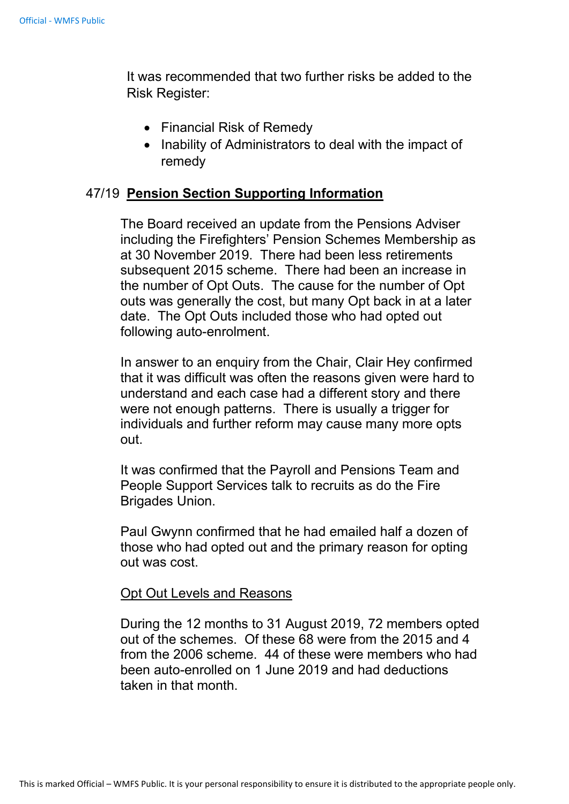It was recommended that two further risks be added to the Risk Register:

- Financial Risk of Remedy
- Inability of Administrators to deal with the impact of remedy

## 47/19 **Pension Section Supporting Information**

The Board received an update from the Pensions Adviser including the Firefighters' Pension Schemes Membership as at 30 November 2019. There had been less retirements subsequent 2015 scheme. There had been an increase in the number of Opt Outs. The cause for the number of Opt outs was generally the cost, but many Opt back in at a later date. The Opt Outs included those who had opted out following auto-enrolment.

In answer to an enquiry from the Chair, Clair Hey confirmed that it was difficult was often the reasons given were hard to understand and each case had a different story and there were not enough patterns. There is usually a trigger for individuals and further reform may cause many more opts out.

It was confirmed that the Payroll and Pensions Team and People Support Services talk to recruits as do the Fire Brigades Union.

Paul Gwynn confirmed that he had emailed half a dozen of those who had opted out and the primary reason for opting out was cost.

### Opt Out Levels and Reasons

During the 12 months to 31 August 2019, 72 members opted out of the schemes. Of these 68 were from the 2015 and 4 from the 2006 scheme. 44 of these were members who had been auto-enrolled on 1 June 2019 and had deductions taken in that month.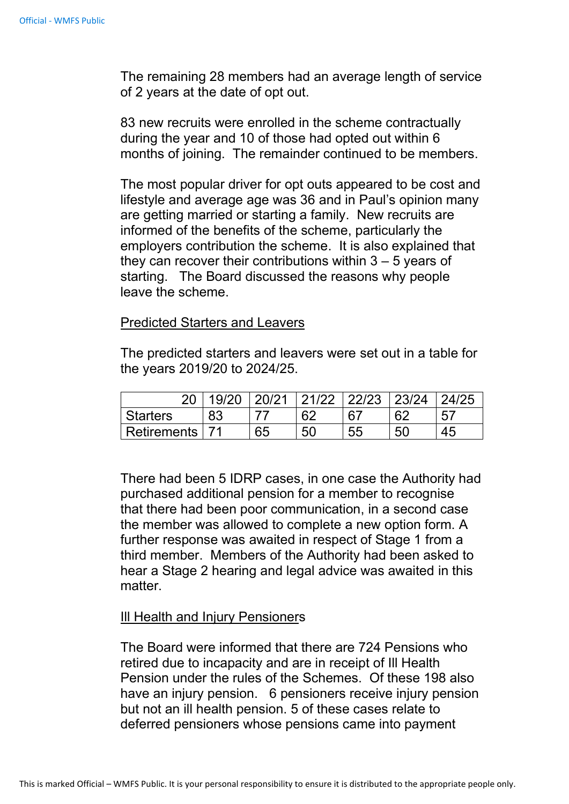The remaining 28 members had an average length of service of 2 years at the date of opt out.

83 new recruits were enrolled in the scheme contractually during the year and 10 of those had opted out within 6 months of joining. The remainder continued to be members.

The most popular driver for opt outs appeared to be cost and lifestyle and average age was 36 and in Paul's opinion many are getting married or starting a family. New recruits are informed of the benefits of the scheme, particularly the employers contribution the scheme. It is also explained that they can recover their contributions within  $3 - 5$  years of starting. The Board discussed the reasons why people leave the scheme.

## Predicted Starters and Leavers

The predicted starters and leavers were set out in a table for the years 2019/20 to 2024/25.

| 20               |    | 20/21 | 21/22 22/23 23/24 |    |    |    |
|------------------|----|-------|-------------------|----|----|----|
| <b>Starters</b>  | 83 |       | ഭി                | R. | ີດ | 57 |
| Retirements   71 |    | 65    | 50                | 55 | 50 |    |

There had been 5 IDRP cases, in one case the Authority had purchased additional pension for a member to recognise that there had been poor communication, in a second case the member was allowed to complete a new option form. A further response was awaited in respect of Stage 1 from a third member. Members of the Authority had been asked to hear a Stage 2 hearing and legal advice was awaited in this matter.

## Ill Health and Injury Pensioners

The Board were informed that there are 724 Pensions who retired due to incapacity and are in receipt of Ill Health Pension under the rules of the Schemes. Of these 198 also have an injury pension. 6 pensioners receive injury pension but not an ill health pension. 5 of these cases relate to deferred pensioners whose pensions came into payment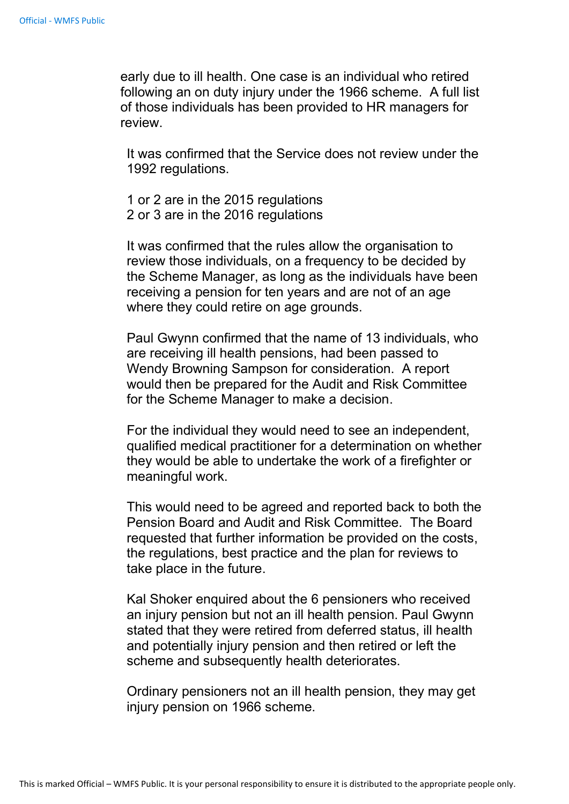early due to ill health. One case is an individual who retired following an on duty injury under the 1966 scheme. A full list of those individuals has been provided to HR managers for review.

It was confirmed that the Service does not review under the 1992 regulations.

1 or 2 are in the 2015 regulations 2 or 3 are in the 2016 regulations

It was confirmed that the rules allow the organisation to review those individuals, on a frequency to be decided by the Scheme Manager, as long as the individuals have been receiving a pension for ten years and are not of an age where they could retire on age grounds.

Paul Gwynn confirmed that the name of 13 individuals, who are receiving ill health pensions, had been passed to Wendy Browning Sampson for consideration. A report would then be prepared for the Audit and Risk Committee for the Scheme Manager to make a decision.

For the individual they would need to see an independent, qualified medical practitioner for a determination on whether they would be able to undertake the work of a firefighter or meaningful work.

This would need to be agreed and reported back to both the Pension Board and Audit and Risk Committee. The Board requested that further information be provided on the costs, the regulations, best practice and the plan for reviews to take place in the future.

Kal Shoker enquired about the 6 pensioners who received an injury pension but not an ill health pension. Paul Gwynn stated that they were retired from deferred status, ill health and potentially injury pension and then retired or left the scheme and subsequently health deteriorates.

Ordinary pensioners not an ill health pension, they may get injury pension on 1966 scheme.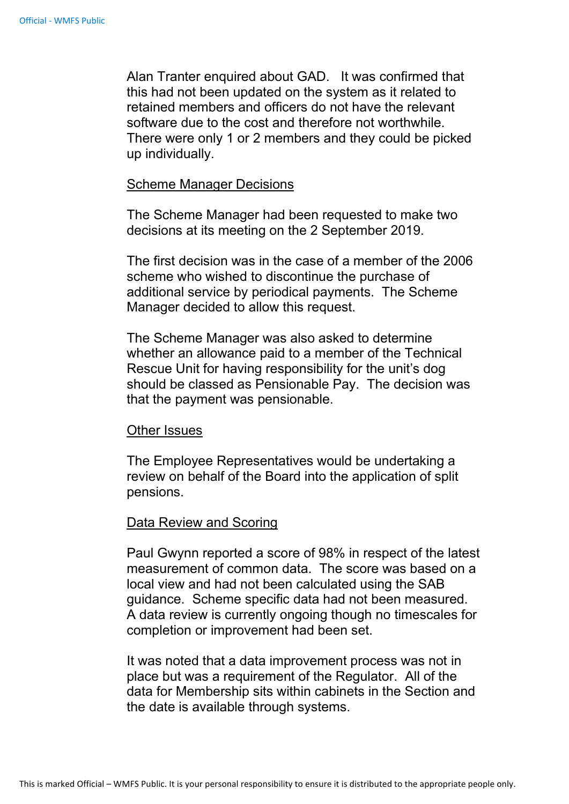Alan Tranter enquired about GAD. It was confirmed that this had not been updated on the system as it related to retained members and officers do not have the relevant software due to the cost and therefore not worthwhile. There were only 1 or 2 members and they could be picked up individually.

#### Scheme Manager Decisions

The Scheme Manager had been requested to make two decisions at its meeting on the 2 September 2019.

The first decision was in the case of a member of the 2006 scheme who wished to discontinue the purchase of additional service by periodical payments. The Scheme Manager decided to allow this request.

The Scheme Manager was also asked to determine whether an allowance paid to a member of the Technical Rescue Unit for having responsibility for the unit's dog should be classed as Pensionable Pay. The decision was that the payment was pensionable.

#### Other Issues

The Employee Representatives would be undertaking a review on behalf of the Board into the application of split pensions.

#### Data Review and Scoring

Paul Gwynn reported a score of 98% in respect of the latest measurement of common data. The score was based on a local view and had not been calculated using the SAB guidance. Scheme specific data had not been measured. A data review is currently ongoing though no timescales for completion or improvement had been set.

It was noted that a data improvement process was not in place but was a requirement of the Regulator. All of the data for Membership sits within cabinets in the Section and the date is available through systems.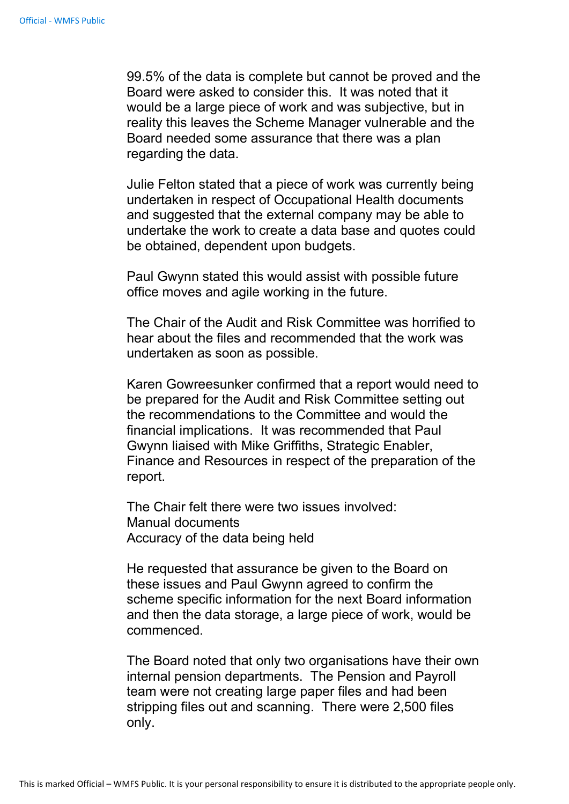99.5% of the data is complete but cannot be proved and the Board were asked to consider this. It was noted that it would be a large piece of work and was subjective, but in reality this leaves the Scheme Manager vulnerable and the Board needed some assurance that there was a plan regarding the data.

Julie Felton stated that a piece of work was currently being undertaken in respect of Occupational Health documents and suggested that the external company may be able to undertake the work to create a data base and quotes could be obtained, dependent upon budgets.

Paul Gwynn stated this would assist with possible future office moves and agile working in the future.

The Chair of the Audit and Risk Committee was horrified to hear about the files and recommended that the work was undertaken as soon as possible.

Karen Gowreesunker confirmed that a report would need to be prepared for the Audit and Risk Committee setting out the recommendations to the Committee and would the financial implications. It was recommended that Paul Gwynn liaised with Mike Griffiths, Strategic Enabler, Finance and Resources in respect of the preparation of the report.

The Chair felt there were two issues involved: Manual documents Accuracy of the data being held

He requested that assurance be given to the Board on these issues and Paul Gwynn agreed to confirm the scheme specific information for the next Board information and then the data storage, a large piece of work, would be commenced.

The Board noted that only two organisations have their own internal pension departments. The Pension and Payroll team were not creating large paper files and had been stripping files out and scanning. There were 2,500 files only.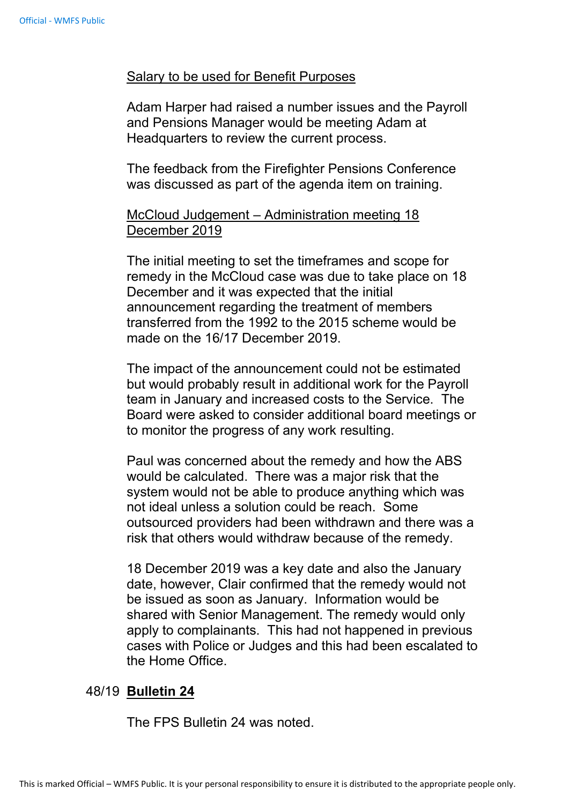#### Salary to be used for Benefit Purposes

Adam Harper had raised a number issues and the Payroll and Pensions Manager would be meeting Adam at Headquarters to review the current process.

The feedback from the Firefighter Pensions Conference was discussed as part of the agenda item on training.

## McCloud Judgement – Administration meeting 18 December 2019

The initial meeting to set the timeframes and scope for remedy in the McCloud case was due to take place on 18 December and it was expected that the initial announcement regarding the treatment of members transferred from the 1992 to the 2015 scheme would be made on the 16/17 December 2019.

The impact of the announcement could not be estimated but would probably result in additional work for the Payroll team in January and increased costs to the Service. The Board were asked to consider additional board meetings or to monitor the progress of any work resulting.

Paul was concerned about the remedy and how the ABS would be calculated. There was a major risk that the system would not be able to produce anything which was not ideal unless a solution could be reach. Some outsourced providers had been withdrawn and there was a risk that others would withdraw because of the remedy.

18 December 2019 was a key date and also the January date, however, Clair confirmed that the remedy would not be issued as soon as January. Information would be shared with Senior Management. The remedy would only apply to complainants. This had not happened in previous cases with Police or Judges and this had been escalated to the Home Office.

## 48/19 **Bulletin 24**

The FPS Bulletin 24 was noted.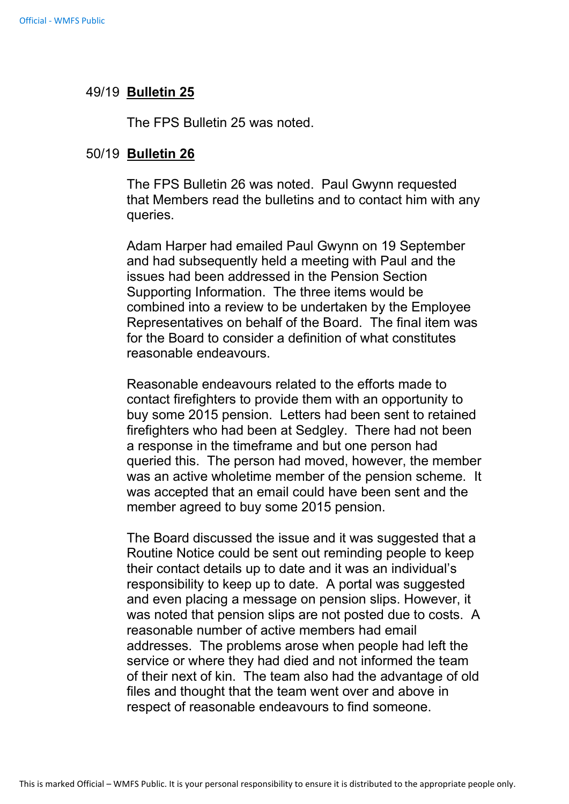## 49/19 **Bulletin 25**

The FPS Bulletin 25 was noted.

### 50/19 **Bulletin 26**

The FPS Bulletin 26 was noted. Paul Gwynn requested that Members read the bulletins and to contact him with any queries.

Adam Harper had emailed Paul Gwynn on 19 September and had subsequently held a meeting with Paul and the issues had been addressed in the Pension Section Supporting Information. The three items would be combined into a review to be undertaken by the Employee Representatives on behalf of the Board. The final item was for the Board to consider a definition of what constitutes reasonable endeavours.

Reasonable endeavours related to the efforts made to contact firefighters to provide them with an opportunity to buy some 2015 pension. Letters had been sent to retained firefighters who had been at Sedgley. There had not been a response in the timeframe and but one person had queried this. The person had moved, however, the member was an active wholetime member of the pension scheme. It was accepted that an email could have been sent and the member agreed to buy some 2015 pension.

The Board discussed the issue and it was suggested that a Routine Notice could be sent out reminding people to keep their contact details up to date and it was an individual's responsibility to keep up to date. A portal was suggested and even placing a message on pension slips. However, it was noted that pension slips are not posted due to costs. A reasonable number of active members had email addresses. The problems arose when people had left the service or where they had died and not informed the team of their next of kin. The team also had the advantage of old files and thought that the team went over and above in respect of reasonable endeavours to find someone.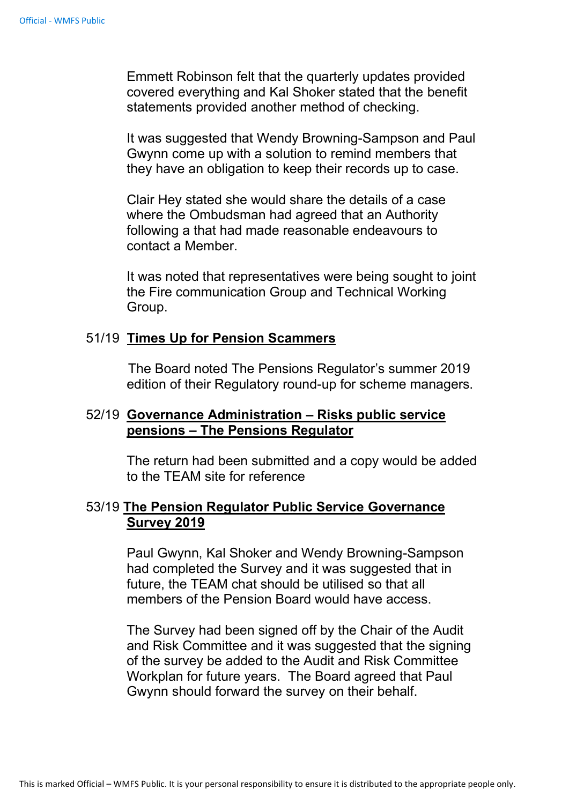Emmett Robinson felt that the quarterly updates provided covered everything and Kal Shoker stated that the benefit statements provided another method of checking.

It was suggested that Wendy Browning-Sampson and Paul Gwynn come up with a solution to remind members that they have an obligation to keep their records up to case.

Clair Hey stated she would share the details of a case where the Ombudsman had agreed that an Authority following a that had made reasonable endeavours to contact a Member.

It was noted that representatives were being sought to joint the Fire communication Group and Technical Working Group.

### 51/19 **Times Up for Pension Scammers**

The Board noted The Pensions Regulator's summer 2019 edition of their Regulatory round-up for scheme managers.

## 52/19 **Governance Administration – Risks public service pensions – The Pensions Regulator**

The return had been submitted and a copy would be added to the TEAM site for reference

## 53/19 **The Pension Regulator Public Service Governance Survey 2019**

Paul Gwynn, Kal Shoker and Wendy Browning-Sampson had completed the Survey and it was suggested that in future, the TEAM chat should be utilised so that all members of the Pension Board would have access.

The Survey had been signed off by the Chair of the Audit and Risk Committee and it was suggested that the signing of the survey be added to the Audit and Risk Committee Workplan for future years. The Board agreed that Paul Gwynn should forward the survey on their behalf.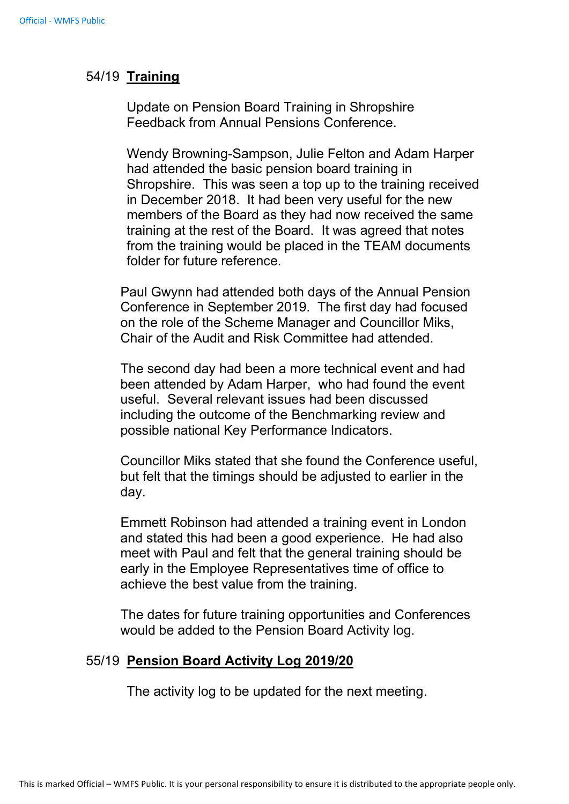# 54/19 **Training**

 Update on Pension Board Training in Shropshire Feedback from Annual Pensions Conference.

Wendy Browning-Sampson, Julie Felton and Adam Harper had attended the basic pension board training in Shropshire. This was seen a top up to the training received in December 2018. It had been very useful for the new members of the Board as they had now received the same training at the rest of the Board. It was agreed that notes from the training would be placed in the TEAM documents folder for future reference.

Paul Gwynn had attended both days of the Annual Pension Conference in September 2019. The first day had focused on the role of the Scheme Manager and Councillor Miks, Chair of the Audit and Risk Committee had attended.

The second day had been a more technical event and had been attended by Adam Harper, who had found the event useful. Several relevant issues had been discussed including the outcome of the Benchmarking review and possible national Key Performance Indicators.

Councillor Miks stated that she found the Conference useful, but felt that the timings should be adjusted to earlier in the day.

Emmett Robinson had attended a training event in London and stated this had been a good experience. He had also meet with Paul and felt that the general training should be early in the Employee Representatives time of office to achieve the best value from the training.

The dates for future training opportunities and Conferences would be added to the Pension Board Activity log.

### 55/19 **Pension Board Activity Log 2019/20**

The activity log to be updated for the next meeting.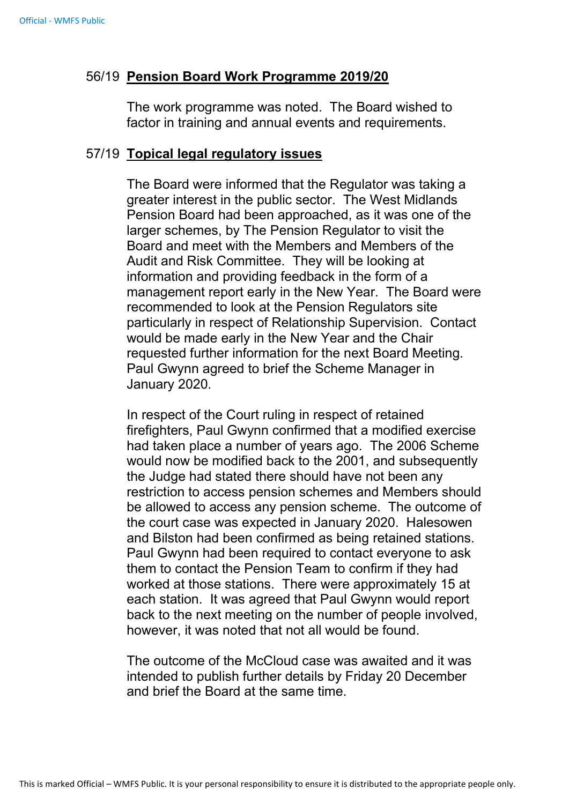## 56/19 **Pension Board Work Programme 2019/20**

The work programme was noted. The Board wished to factor in training and annual events and requirements.

### 57/19 **Topical legal regulatory issues**

The Board were informed that the Regulator was taking a greater interest in the public sector. The West Midlands Pension Board had been approached, as it was one of the larger schemes, by The Pension Regulator to visit the Board and meet with the Members and Members of the Audit and Risk Committee. They will be looking at information and providing feedback in the form of a management report early in the New Year. The Board were recommended to look at the Pension Regulators site particularly in respect of Relationship Supervision. Contact would be made early in the New Year and the Chair requested further information for the next Board Meeting. Paul Gwynn agreed to brief the Scheme Manager in January 2020.

In respect of the Court ruling in respect of retained firefighters, Paul Gwynn confirmed that a modified exercise had taken place a number of years ago. The 2006 Scheme would now be modified back to the 2001, and subsequently the Judge had stated there should have not been any restriction to access pension schemes and Members should be allowed to access any pension scheme. The outcome of the court case was expected in January 2020. Halesowen and Bilston had been confirmed as being retained stations. Paul Gwynn had been required to contact everyone to ask them to contact the Pension Team to confirm if they had worked at those stations. There were approximately 15 at each station. It was agreed that Paul Gwynn would report back to the next meeting on the number of people involved, however, it was noted that not all would be found.

The outcome of the McCloud case was awaited and it was intended to publish further details by Friday 20 December and brief the Board at the same time.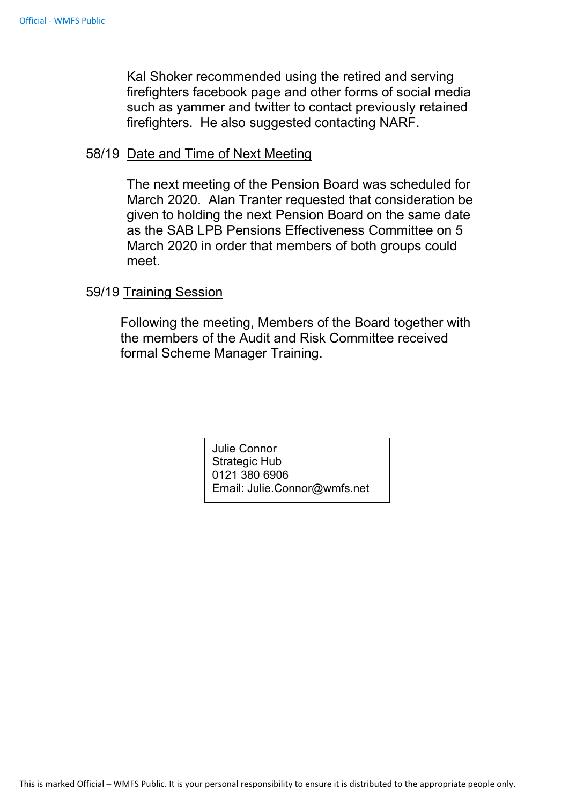Kal Shoker recommended using the retired and serving firefighters facebook page and other forms of social media such as yammer and twitter to contact previously retained firefighters. He also suggested contacting NARF.

#### 58/19 Date and Time of Next Meeting

The next meeting of the Pension Board was scheduled for March 2020. Alan Tranter requested that consideration be given to holding the next Pension Board on the same date as the SAB LPB Pensions Effectiveness Committee on 5 March 2020 in order that members of both groups could meet.

### 59/19 Training Session

Following the meeting, Members of the Board together with the members of the Audit and Risk Committee received formal Scheme Manager Training.

> Julie Connor Strategic Hub 0121 380 6906 Email: Julie.Connor@wmfs.net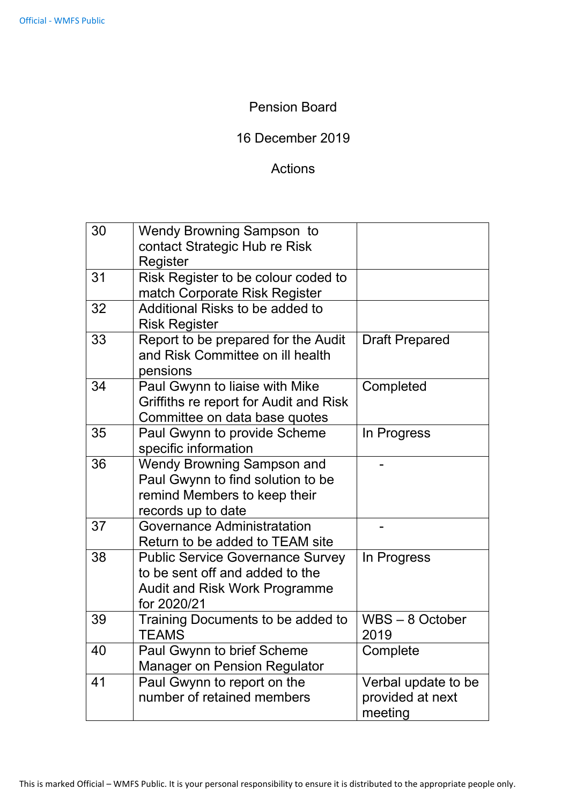# Pension Board

# 16 December 2019

## Actions

| 30 | Wendy Browning Sampson to<br>contact Strategic Hub re Risk<br>Register                                                            |                                                    |
|----|-----------------------------------------------------------------------------------------------------------------------------------|----------------------------------------------------|
| 31 | Risk Register to be colour coded to<br>match Corporate Risk Register                                                              |                                                    |
| 32 | Additional Risks to be added to<br><b>Risk Register</b>                                                                           |                                                    |
| 33 | Report to be prepared for the Audit<br>and Risk Committee on ill health<br>pensions                                               | <b>Draft Prepared</b>                              |
| 34 | Paul Gwynn to liaise with Mike<br>Griffiths re report for Audit and Risk<br>Committee on data base quotes                         | Completed                                          |
| 35 | Paul Gwynn to provide Scheme<br>specific information                                                                              | In Progress                                        |
| 36 | Wendy Browning Sampson and<br>Paul Gwynn to find solution to be<br>remind Members to keep their<br>records up to date             |                                                    |
| 37 | <b>Governance Administratation</b><br>Return to be added to TEAM site                                                             |                                                    |
| 38 | <b>Public Service Governance Survey</b><br>to be sent off and added to the<br><b>Audit and Risk Work Programme</b><br>for 2020/21 | In Progress                                        |
| 39 | Training Documents to be added to<br><b>TEAMS</b>                                                                                 | $WBS - 8$ October<br>2019                          |
| 40 | Paul Gwynn to brief Scheme<br><b>Manager on Pension Regulator</b>                                                                 | Complete                                           |
| 41 | Paul Gwynn to report on the<br>number of retained members                                                                         | Verbal update to be<br>provided at next<br>meeting |